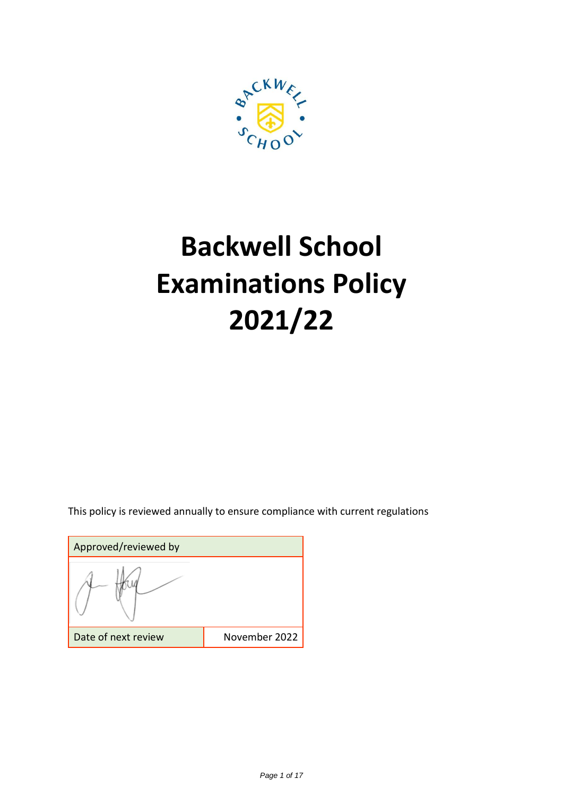

# **Backwell School Examinations Policy 2021/22**

This policy is reviewed annually to ensure compliance with current regulations

Approved/reviewed by Date of next review **November 2022**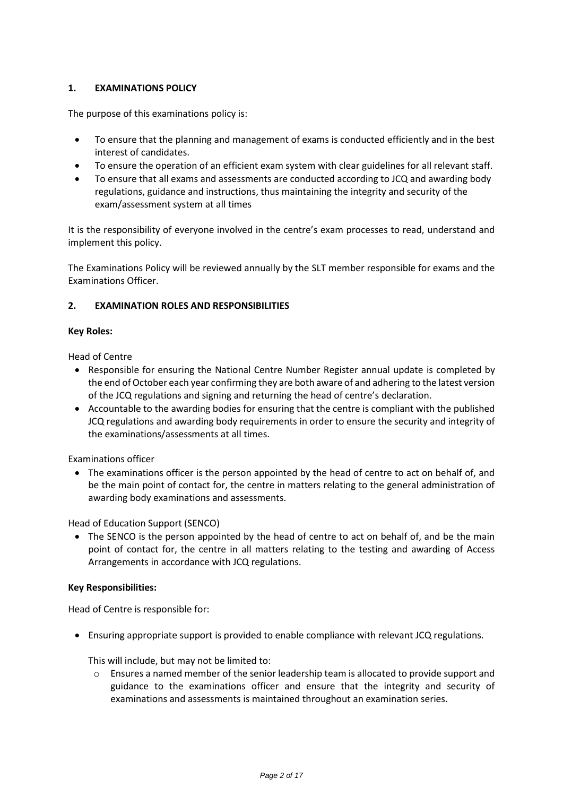# **1. EXAMINATIONS POLICY**

The purpose of this examinations policy is:

- To ensure that the planning and management of exams is conducted efficiently and in the best interest of candidates.
- To ensure the operation of an efficient exam system with clear guidelines for all relevant staff.
- To ensure that all exams and assessments are conducted according to JCQ and awarding body regulations, guidance and instructions, thus maintaining the integrity and security of the exam/assessment system at all times

It is the responsibility of everyone involved in the centre's exam processes to read, understand and implement this policy.

The Examinations Policy will be reviewed annually by the SLT member responsible for exams and the Examinations Officer.

# **2. EXAMINATION ROLES AND RESPONSIBILITIES**

# **Key Roles:**

Head of Centre

- Responsible for ensuring the National Centre Number Register annual update is completed by the end of October each year confirming they are both aware of and adhering to the latest version of the JCQ regulations and signing and returning the head of centre's declaration.
- Accountable to the awarding bodies for ensuring that the centre is compliant with the published JCQ regulations and awarding body requirements in order to ensure the security and integrity of the examinations/assessments at all times.

Examinations officer

 The examinations officer is the person appointed by the head of centre to act on behalf of, and be the main point of contact for, the centre in matters relating to the general administration of awarding body examinations and assessments.

Head of Education Support (SENCO)

• The SENCO is the person appointed by the head of centre to act on behalf of, and be the main point of contact for, the centre in all matters relating to the testing and awarding of Access Arrangements in accordance with JCQ regulations.

# **Key Responsibilities:**

Head of Centre is responsible for:

Ensuring appropriate support is provided to enable compliance with relevant JCQ regulations.

This will include, but may not be limited to:

 $\circ$  Ensures a named member of the senior leadership team is allocated to provide support and guidance to the examinations officer and ensure that the integrity and security of examinations and assessments is maintained throughout an examination series.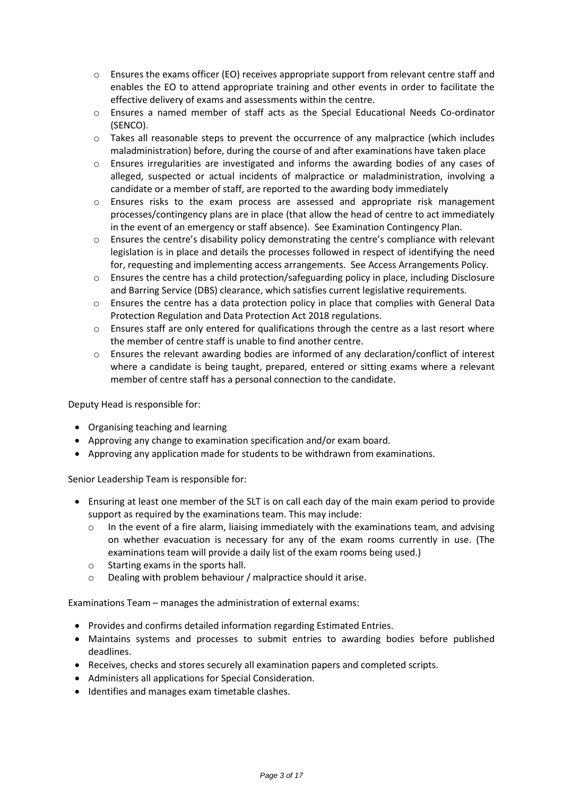- $\circ$  Ensures the exams officer (EO) receives appropriate support from relevant centre staff and enables the EO to attend appropriate training and other events in order to facilitate the effective delivery of exams and assessments within the centre.
- o Ensures a named member of staff acts as the Special Educational Needs Co-ordinator (SENCO).
- $\circ$  Takes all reasonable steps to prevent the occurrence of any malpractice (which includes maladministration) before, during the course of and after examinations have taken place
- o Ensures irregularities are investigated and informs the awarding bodies of any cases of alleged, suspected or actual incidents of malpractice or maladministration, involving a candidate or a member of staff, are reported to the awarding body immediately
- o Ensures risks to the exam process are assessed and appropriate risk management processes/contingency plans are in place (that allow the head of centre to act immediately in the event of an emergency or staff absence). See Examination Contingency Plan.
- o Ensures the centre's disability policy demonstrating the centre's compliance with relevant legislation is in place and details the processes followed in respect of identifying the need for, requesting and implementing access arrangements. See Access Arrangements Policy.
- $\circ$  Ensures the centre has a child protection/safeguarding policy in place, including Disclosure and Barring Service (DBS) clearance, which satisfies current legislative requirements.
- o Ensures the centre has a data protection policy in place that complies with General Data Protection Regulation and Data Protection Act 2018 regulations.
- $\circ$  Ensures staff are only entered for qualifications through the centre as a last resort where the member of centre staff is unable to find another centre.
- o Ensures the relevant awarding bodies are informed of any declaration/conflict of interest where a candidate is being taught, prepared, entered or sitting exams where a relevant member of centre staff has a personal connection to the candidate.

Deputy Head is responsible for:

- Organising teaching and learning
- Approving any change to examination specification and/or exam board.
- Approving any application made for students to be withdrawn from examinations.

Senior Leadership Team is responsible for:

- Ensuring at least one member of the SLT is on call each day of the main exam period to provide support as required by the examinations team. This may include:
	- $\circ$  In the event of a fire alarm, liaising immediately with the examinations team, and advising on whether evacuation is necessary for any of the exam rooms currently in use. (The examinations team will provide a daily list of the exam rooms being used.)
	- o Starting exams in the sports hall.
	- Dealing with problem behaviour / malpractice should it arise.

Examinations Team – manages the administration of external exams:

- Provides and confirms detailed information regarding Estimated Entries.
- Maintains systems and processes to submit entries to awarding bodies before published deadlines.
- Receives, checks and stores securely all examination papers and completed scripts.
- Administers all applications for Special Consideration.
- Identifies and manages exam timetable clashes.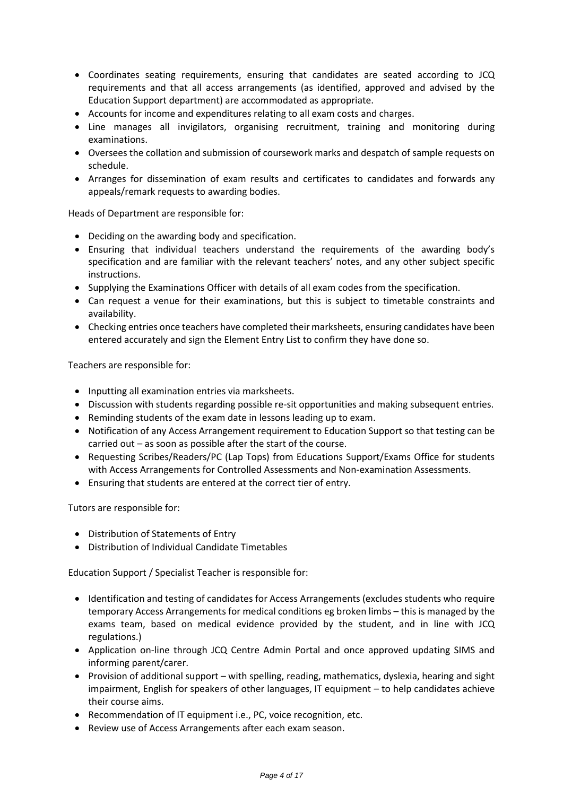- Coordinates seating requirements, ensuring that candidates are seated according to JCQ requirements and that all access arrangements (as identified, approved and advised by the Education Support department) are accommodated as appropriate.
- Accounts for income and expenditures relating to all exam costs and charges.
- Line manages all invigilators, organising recruitment, training and monitoring during examinations.
- Oversees the collation and submission of coursework marks and despatch of sample requests on schedule.
- Arranges for dissemination of exam results and certificates to candidates and forwards any appeals/remark requests to awarding bodies.

Heads of Department are responsible for:

- Deciding on the awarding body and specification.
- Ensuring that individual teachers understand the requirements of the awarding body's specification and are familiar with the relevant teachers' notes, and any other subject specific instructions.
- Supplying the Examinations Officer with details of all exam codes from the specification.
- Can request a venue for their examinations, but this is subject to timetable constraints and availability.
- Checking entries once teachers have completed their marksheets, ensuring candidates have been entered accurately and sign the Element Entry List to confirm they have done so.

Teachers are responsible for:

- Inputting all examination entries via marksheets.
- Discussion with students regarding possible re-sit opportunities and making subsequent entries.
- Reminding students of the exam date in lessons leading up to exam.
- Notification of any Access Arrangement requirement to Education Support so that testing can be carried out – as soon as possible after the start of the course.
- Requesting Scribes/Readers/PC (Lap Tops) from Educations Support/Exams Office for students with Access Arrangements for Controlled Assessments and Non-examination Assessments.
- Ensuring that students are entered at the correct tier of entry.

Tutors are responsible for:

- Distribution of Statements of Entry
- Distribution of Individual Candidate Timetables

Education Support / Specialist Teacher is responsible for:

- Identification and testing of candidates for Access Arrangements (excludes students who require temporary Access Arrangements for medical conditions eg broken limbs – this is managed by the exams team, based on medical evidence provided by the student, and in line with JCQ regulations.)
- Application on-line through JCQ Centre Admin Portal and once approved updating SIMS and informing parent/carer.
- Provision of additional support with spelling, reading, mathematics, dyslexia, hearing and sight impairment, English for speakers of other languages, IT equipment – to help candidates achieve their course aims.
- Recommendation of IT equipment i.e., PC, voice recognition, etc.
- Review use of Access Arrangements after each exam season.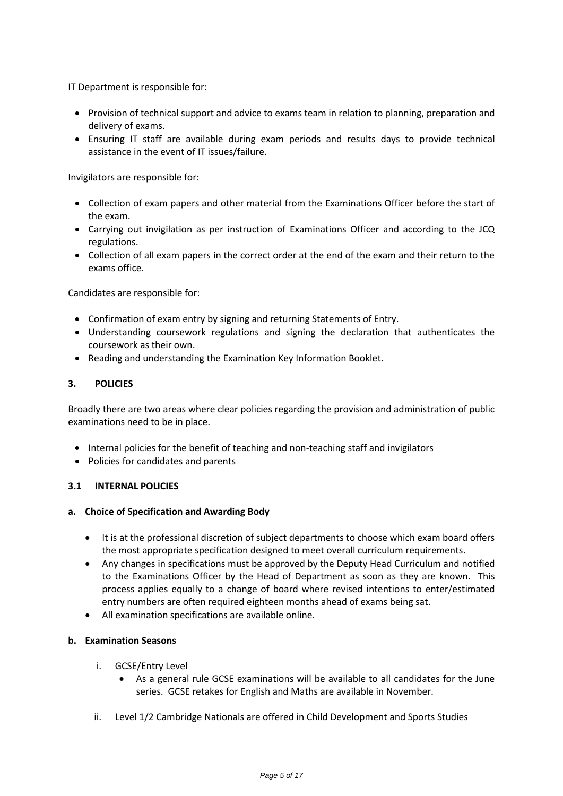IT Department is responsible for:

- Provision of technical support and advice to exams team in relation to planning, preparation and delivery of exams.
- Ensuring IT staff are available during exam periods and results days to provide technical assistance in the event of IT issues/failure.

Invigilators are responsible for:

- Collection of exam papers and other material from the Examinations Officer before the start of the exam.
- Carrying out invigilation as per instruction of Examinations Officer and according to the JCQ regulations.
- Collection of all exam papers in the correct order at the end of the exam and their return to the exams office.

Candidates are responsible for:

- Confirmation of exam entry by signing and returning Statements of Entry.
- Understanding coursework regulations and signing the declaration that authenticates the coursework as their own.
- Reading and understanding the Examination Key Information Booklet.

# **3. POLICIES**

Broadly there are two areas where clear policies regarding the provision and administration of public examinations need to be in place.

- Internal policies for the benefit of teaching and non-teaching staff and invigilators
- Policies for candidates and parents

# **3.1 INTERNAL POLICIES**

# **a. Choice of Specification and Awarding Body**

- It is at the professional discretion of subject departments to choose which exam board offers the most appropriate specification designed to meet overall curriculum requirements.
- Any changes in specifications must be approved by the Deputy Head Curriculum and notified to the Examinations Officer by the Head of Department as soon as they are known. This process applies equally to a change of board where revised intentions to enter/estimated entry numbers are often required eighteen months ahead of exams being sat.
- All examination specifications are available online.

# **b. Examination Seasons**

- i. GCSE/Entry Level
	- As a general rule GCSE examinations will be available to all candidates for the June series. GCSE retakes for English and Maths are available in November.
- ii. Level 1/2 Cambridge Nationals are offered in Child Development and Sports Studies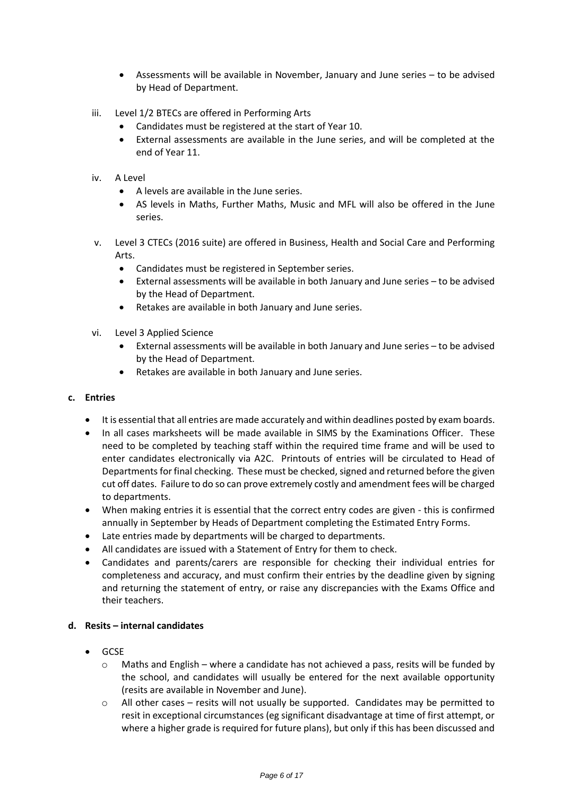- Assessments will be available in November, January and June series to be advised by Head of Department.
- iii. Level 1/2 BTECs are offered in Performing Arts
	- Candidates must be registered at the start of Year 10.
	- External assessments are available in the June series, and will be completed at the end of Year 11.
- iv. A Level
	- A levels are available in the June series.
	- AS levels in Maths, Further Maths, Music and MFL will also be offered in the June series.
- v. Level 3 CTECs (2016 suite) are offered in Business, Health and Social Care and Performing Arts.
	- Candidates must be registered in September series.
	- External assessments will be available in both January and June series to be advised by the Head of Department.
	- Retakes are available in both January and June series.
- vi. Level 3 Applied Science
	- External assessments will be available in both January and June series to be advised by the Head of Department.
	- Retakes are available in both January and June series.

# **c. Entries**

- It is essential that all entries are made accurately and within deadlines posted by exam boards.
- In all cases marksheets will be made available in SIMS by the Examinations Officer. These need to be completed by teaching staff within the required time frame and will be used to enter candidates electronically via A2C. Printouts of entries will be circulated to Head of Departments for final checking. These must be checked, signed and returned before the given cut off dates. Failure to do so can prove extremely costly and amendment fees will be charged to departments.
- When making entries it is essential that the correct entry codes are given this is confirmed annually in September by Heads of Department completing the Estimated Entry Forms.
- Late entries made by departments will be charged to departments.
- All candidates are issued with a Statement of Entry for them to check.
- Candidates and parents/carers are responsible for checking their individual entries for completeness and accuracy, and must confirm their entries by the deadline given by signing and returning the statement of entry, or raise any discrepancies with the Exams Office and their teachers.

# **d. Resits – internal candidates**

- GCSE
	- $\circ$  Maths and English where a candidate has not achieved a pass, resits will be funded by the school, and candidates will usually be entered for the next available opportunity (resits are available in November and June).
	- o All other cases resits will not usually be supported. Candidates may be permitted to resit in exceptional circumstances (eg significant disadvantage at time of first attempt, or where a higher grade is required for future plans), but only if this has been discussed and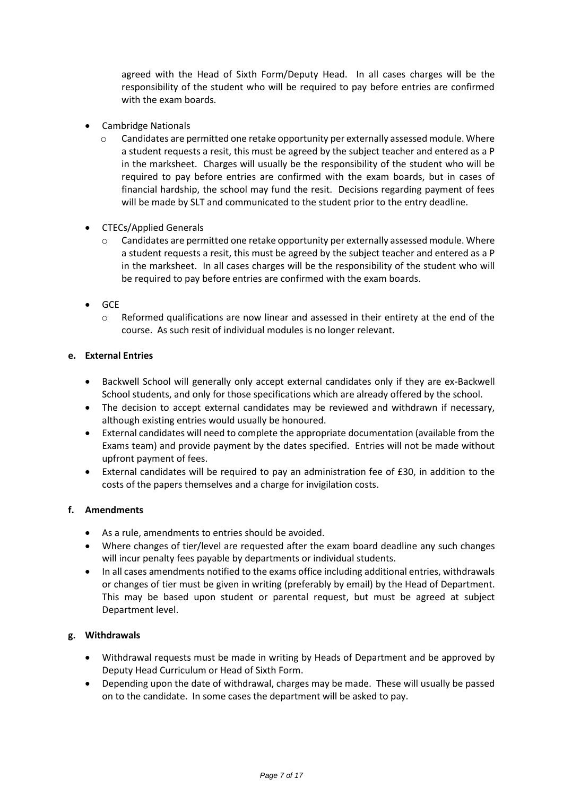agreed with the Head of Sixth Form/Deputy Head. In all cases charges will be the responsibility of the student who will be required to pay before entries are confirmed with the exam boards.

- Cambridge Nationals
	- $\circ$  Candidates are permitted one retake opportunity per externally assessed module. Where a student requests a resit, this must be agreed by the subject teacher and entered as a P in the marksheet. Charges will usually be the responsibility of the student who will be required to pay before entries are confirmed with the exam boards, but in cases of financial hardship, the school may fund the resit. Decisions regarding payment of fees will be made by SLT and communicated to the student prior to the entry deadline.
- CTECs/Applied Generals
	- $\circ$  Candidates are permitted one retake opportunity per externally assessed module. Where a student requests a resit, this must be agreed by the subject teacher and entered as a P in the marksheet. In all cases charges will be the responsibility of the student who will be required to pay before entries are confirmed with the exam boards.
- $\bullet$  GCE
	- $\circ$  Reformed qualifications are now linear and assessed in their entirety at the end of the course. As such resit of individual modules is no longer relevant.

# **e. External Entries**

- Backwell School will generally only accept external candidates only if they are ex-Backwell School students, and only for those specifications which are already offered by the school.
- The decision to accept external candidates may be reviewed and withdrawn if necessary, although existing entries would usually be honoured.
- External candidates will need to complete the appropriate documentation (available from the Exams team) and provide payment by the dates specified. Entries will not be made without upfront payment of fees.
- External candidates will be required to pay an administration fee of £30, in addition to the costs of the papers themselves and a charge for invigilation costs.

# **f. Amendments**

- As a rule, amendments to entries should be avoided.
- Where changes of tier/level are requested after the exam board deadline any such changes will incur penalty fees payable by departments or individual students.
- In all cases amendments notified to the exams office including additional entries, withdrawals or changes of tier must be given in writing (preferably by email) by the Head of Department. This may be based upon student or parental request, but must be agreed at subject Department level.

# **g. Withdrawals**

- Withdrawal requests must be made in writing by Heads of Department and be approved by Deputy Head Curriculum or Head of Sixth Form.
- Depending upon the date of withdrawal, charges may be made. These will usually be passed on to the candidate. In some cases the department will be asked to pay.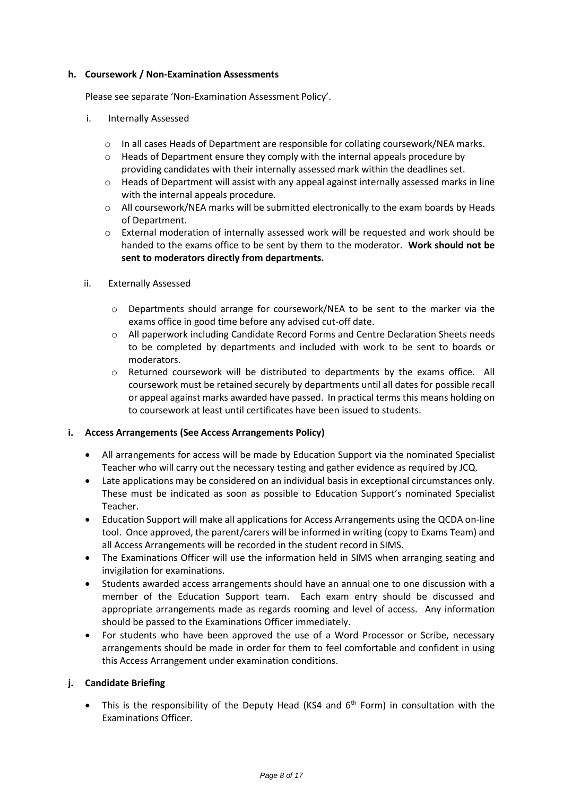# **h. Coursework / Non-Examination Assessments**

Please see separate 'Non-Examination Assessment Policy'.

- i. Internally Assessed
	- o In all cases Heads of Department are responsible for collating coursework/NEA marks.
	- $\circ$  Heads of Department ensure they comply with the internal appeals procedure by providing candidates with their internally assessed mark within the deadlines set.
	- o Heads of Department will assist with any appeal against internally assessed marks in line with the internal appeals procedure.
	- $\circ$  All coursework/NEA marks will be submitted electronically to the exam boards by Heads of Department.
	- o External moderation of internally assessed work will be requested and work should be handed to the exams office to be sent by them to the moderator. **Work should not be sent to moderators directly from departments.**
- ii. Externally Assessed
	- $\circ$  Departments should arrange for coursework/NEA to be sent to the marker via the exams office in good time before any advised cut-off date.
	- o All paperwork including Candidate Record Forms and Centre Declaration Sheets needs to be completed by departments and included with work to be sent to boards or moderators.
	- o Returned coursework will be distributed to departments by the exams office. All coursework must be retained securely by departments until all dates for possible recall or appeal against marks awarded have passed. In practical terms this means holding on to coursework at least until certificates have been issued to students.

# **i. Access Arrangements (See Access Arrangements Policy)**

- All arrangements for access will be made by Education Support via the nominated Specialist Teacher who will carry out the necessary testing and gather evidence as required by JCQ.
- Late applications may be considered on an individual basis in exceptional circumstances only. These must be indicated as soon as possible to Education Support's nominated Specialist Teacher.
- Education Support will make all applications for Access Arrangements using the QCDA on-line tool. Once approved, the parent/carers will be informed in writing (copy to Exams Team) and all Access Arrangements will be recorded in the student record in SIMS.
- The Examinations Officer will use the information held in SIMS when arranging seating and invigilation for examinations.
- Students awarded access arrangements should have an annual one to one discussion with a member of the Education Support team. Each exam entry should be discussed and appropriate arrangements made as regards rooming and level of access. Any information should be passed to the Examinations Officer immediately.
- For students who have been approved the use of a Word Processor or Scribe, necessary arrangements should be made in order for them to feel comfortable and confident in using this Access Arrangement under examination conditions.

# **j. Candidate Briefing**

• This is the responsibility of the Deputy Head (KS4 and  $6<sup>th</sup>$  Form) in consultation with the Examinations Officer.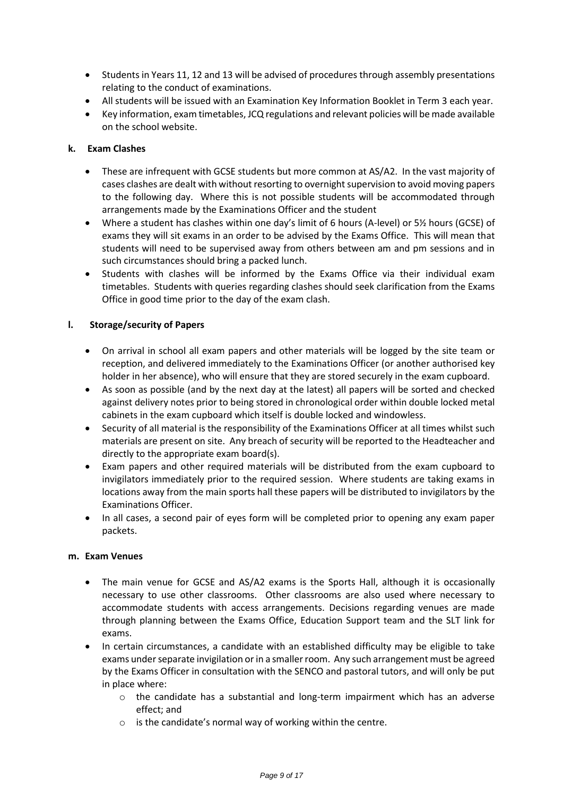- Students in Years 11, 12 and 13 will be advised of procedures through assembly presentations relating to the conduct of examinations.
- All students will be issued with an Examination Key Information Booklet in Term 3 each year.
- Key information, exam timetables, JCQ regulations and relevant policies will be made available on the school website.

# **k. Exam Clashes**

- These are infrequent with GCSE students but more common at AS/A2. In the vast majority of cases clashes are dealt with without resorting to overnight supervision to avoid moving papers to the following day. Where this is not possible students will be accommodated through arrangements made by the Examinations Officer and the student
- Where a student has clashes within one day's limit of 6 hours (A-level) or 5½ hours (GCSE) of exams they will sit exams in an order to be advised by the Exams Office. This will mean that students will need to be supervised away from others between am and pm sessions and in such circumstances should bring a packed lunch.
- Students with clashes will be informed by the Exams Office via their individual exam timetables. Students with queries regarding clashes should seek clarification from the Exams Office in good time prior to the day of the exam clash.

# **l. Storage/security of Papers**

- On arrival in school all exam papers and other materials will be logged by the site team or reception, and delivered immediately to the Examinations Officer (or another authorised key holder in her absence), who will ensure that they are stored securely in the exam cupboard.
- As soon as possible (and by the next day at the latest) all papers will be sorted and checked against delivery notes prior to being stored in chronological order within double locked metal cabinets in the exam cupboard which itself is double locked and windowless.
- Security of all material is the responsibility of the Examinations Officer at all times whilst such materials are present on site. Any breach of security will be reported to the Headteacher and directly to the appropriate exam board(s).
- Exam papers and other required materials will be distributed from the exam cupboard to invigilators immediately prior to the required session. Where students are taking exams in locations away from the main sports hall these papers will be distributed to invigilators by the Examinations Officer.
- In all cases, a second pair of eyes form will be completed prior to opening any exam paper packets.

# **m. Exam Venues**

- The main venue for GCSE and AS/A2 exams is the Sports Hall, although it is occasionally necessary to use other classrooms. Other classrooms are also used where necessary to accommodate students with access arrangements. Decisions regarding venues are made through planning between the Exams Office, Education Support team and the SLT link for exams.
- In certain circumstances, a candidate with an established difficulty may be eligible to take exams under separate invigilation or in a smaller room. Any such arrangement must be agreed by the Exams Officer in consultation with the SENCO and pastoral tutors, and will only be put in place where:
	- $\circ$  the candidate has a substantial and long-term impairment which has an adverse effect; and
	- o is the candidate's normal way of working within the centre.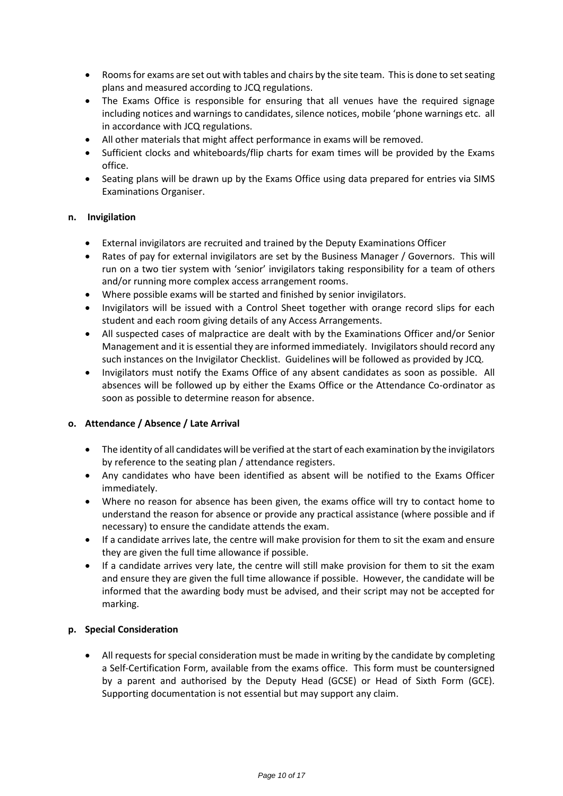- Rooms for exams are set out with tables and chairs by the site team. This is done to set seating plans and measured according to JCQ regulations.
- The Exams Office is responsible for ensuring that all venues have the required signage including notices and warnings to candidates, silence notices, mobile 'phone warnings etc. all in accordance with JCQ regulations.
- All other materials that might affect performance in exams will be removed.
- Sufficient clocks and whiteboards/flip charts for exam times will be provided by the Exams office.
- Seating plans will be drawn up by the Exams Office using data prepared for entries via SIMS Examinations Organiser.

# **n. Invigilation**

- External invigilators are recruited and trained by the Deputy Examinations Officer
- Rates of pay for external invigilators are set by the Business Manager / Governors. This will run on a two tier system with 'senior' invigilators taking responsibility for a team of others and/or running more complex access arrangement rooms.
- Where possible exams will be started and finished by senior invigilators.
- Invigilators will be issued with a Control Sheet together with orange record slips for each student and each room giving details of any Access Arrangements.
- All suspected cases of malpractice are dealt with by the Examinations Officer and/or Senior Management and it is essential they are informed immediately. Invigilators should record any such instances on the Invigilator Checklist. Guidelines will be followed as provided by JCQ.
- Invigilators must notify the Exams Office of any absent candidates as soon as possible. All absences will be followed up by either the Exams Office or the Attendance Co-ordinator as soon as possible to determine reason for absence.

# **o. Attendance / Absence / Late Arrival**

- The identity of all candidates will be verified at the start of each examination by the invigilators by reference to the seating plan / attendance registers.
- Any candidates who have been identified as absent will be notified to the Exams Officer immediately.
- Where no reason for absence has been given, the exams office will try to contact home to understand the reason for absence or provide any practical assistance (where possible and if necessary) to ensure the candidate attends the exam.
- If a candidate arrives late, the centre will make provision for them to sit the exam and ensure they are given the full time allowance if possible.
- If a candidate arrives very late, the centre will still make provision for them to sit the exam and ensure they are given the full time allowance if possible. However, the candidate will be informed that the awarding body must be advised, and their script may not be accepted for marking.

# **p. Special Consideration**

 All requests for special consideration must be made in writing by the candidate by completing a Self-Certification Form, available from the exams office. This form must be countersigned by a parent and authorised by the Deputy Head (GCSE) or Head of Sixth Form (GCE). Supporting documentation is not essential but may support any claim.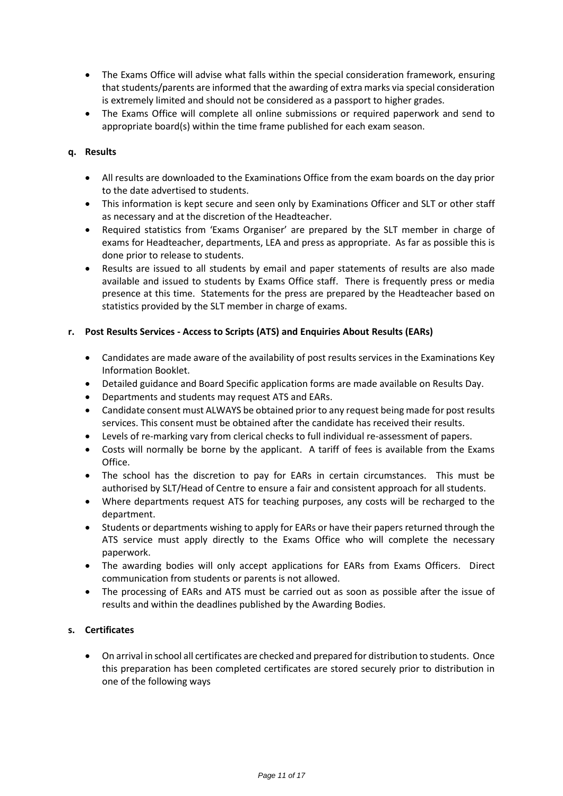- The Exams Office will advise what falls within the special consideration framework, ensuring that students/parents are informed that the awarding of extra marks via special consideration is extremely limited and should not be considered as a passport to higher grades.
- The Exams Office will complete all online submissions or required paperwork and send to appropriate board(s) within the time frame published for each exam season.

# **q. Results**

- All results are downloaded to the Examinations Office from the exam boards on the day prior to the date advertised to students.
- This information is kept secure and seen only by Examinations Officer and SLT or other staff as necessary and at the discretion of the Headteacher.
- Required statistics from 'Exams Organiser' are prepared by the SLT member in charge of exams for Headteacher, departments, LEA and press as appropriate. As far as possible this is done prior to release to students.
- Results are issued to all students by email and paper statements of results are also made available and issued to students by Exams Office staff. There is frequently press or media presence at this time. Statements for the press are prepared by the Headteacher based on statistics provided by the SLT member in charge of exams.

# **r. Post Results Services - Access to Scripts (ATS) and Enquiries About Results (EARs)**

- Candidates are made aware of the availability of post results services in the Examinations Key Information Booklet.
- Detailed guidance and Board Specific application forms are made available on Results Day.
- Departments and students may request ATS and EARs.
- Candidate consent must ALWAYS be obtained prior to any request being made for post results services. This consent must be obtained after the candidate has received their results.
- Levels of re-marking vary from clerical checks to full individual re-assessment of papers.
- Costs will normally be borne by the applicant. A tariff of fees is available from the Exams Office.
- The school has the discretion to pay for EARs in certain circumstances. This must be authorised by SLT/Head of Centre to ensure a fair and consistent approach for all students.
- Where departments request ATS for teaching purposes, any costs will be recharged to the department.
- Students or departments wishing to apply for EARs or have their papers returned through the ATS service must apply directly to the Exams Office who will complete the necessary paperwork.
- The awarding bodies will only accept applications for EARs from Exams Officers. Direct communication from students or parents is not allowed.
- The processing of EARs and ATS must be carried out as soon as possible after the issue of results and within the deadlines published by the Awarding Bodies.

# **s. Certificates**

 On arrival in school all certificates are checked and prepared for distribution to students. Once this preparation has been completed certificates are stored securely prior to distribution in one of the following ways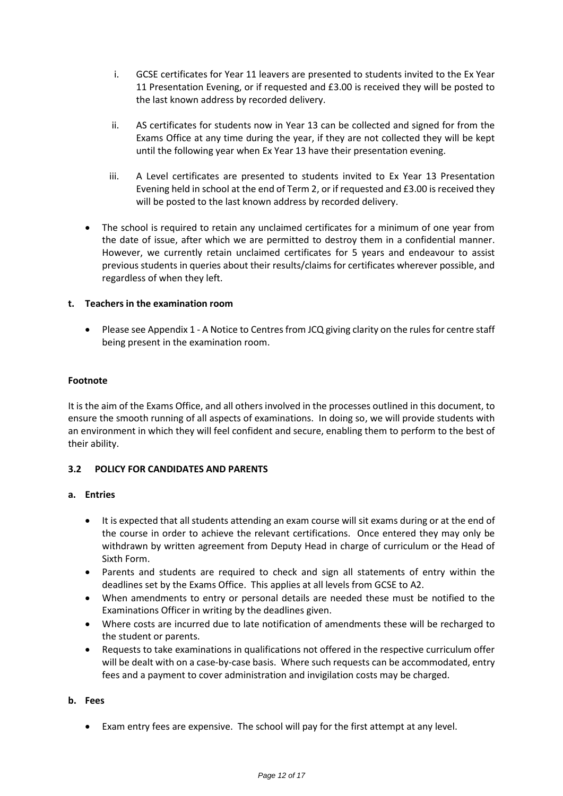- i. GCSE certificates for Year 11 leavers are presented to students invited to the Ex Year 11 Presentation Evening, or if requested and £3.00 is received they will be posted to the last known address by recorded delivery.
- ii. AS certificates for students now in Year 13 can be collected and signed for from the Exams Office at any time during the year, if they are not collected they will be kept until the following year when Ex Year 13 have their presentation evening.
- iii. A Level certificates are presented to students invited to Ex Year 13 Presentation Evening held in school at the end of Term 2, or if requested and £3.00 is received they will be posted to the last known address by recorded delivery.
- The school is required to retain any unclaimed certificates for a minimum of one year from the date of issue, after which we are permitted to destroy them in a confidential manner. However, we currently retain unclaimed certificates for 5 years and endeavour to assist previous students in queries about their results/claims for certificates wherever possible, and regardless of when they left.

# **t. Teachers in the examination room**

 Please see Appendix 1 - A Notice to Centres from JCQ giving clarity on the rules for centre staff being present in the examination room.

# **Footnote**

It is the aim of the Exams Office, and all others involved in the processes outlined in this document, to ensure the smooth running of all aspects of examinations. In doing so, we will provide students with an environment in which they will feel confident and secure, enabling them to perform to the best of their ability.

# **3.2 POLICY FOR CANDIDATES AND PARENTS**

# **a. Entries**

- It is expected that all students attending an exam course will sit exams during or at the end of the course in order to achieve the relevant certifications. Once entered they may only be withdrawn by written agreement from Deputy Head in charge of curriculum or the Head of Sixth Form.
- Parents and students are required to check and sign all statements of entry within the deadlines set by the Exams Office. This applies at all levels from GCSE to A2.
- When amendments to entry or personal details are needed these must be notified to the Examinations Officer in writing by the deadlines given.
- Where costs are incurred due to late notification of amendments these will be recharged to the student or parents.
- Requests to take examinations in qualifications not offered in the respective curriculum offer will be dealt with on a case-by-case basis. Where such requests can be accommodated, entry fees and a payment to cover administration and invigilation costs may be charged.

# **b. Fees**

Exam entry fees are expensive. The school will pay for the first attempt at any level.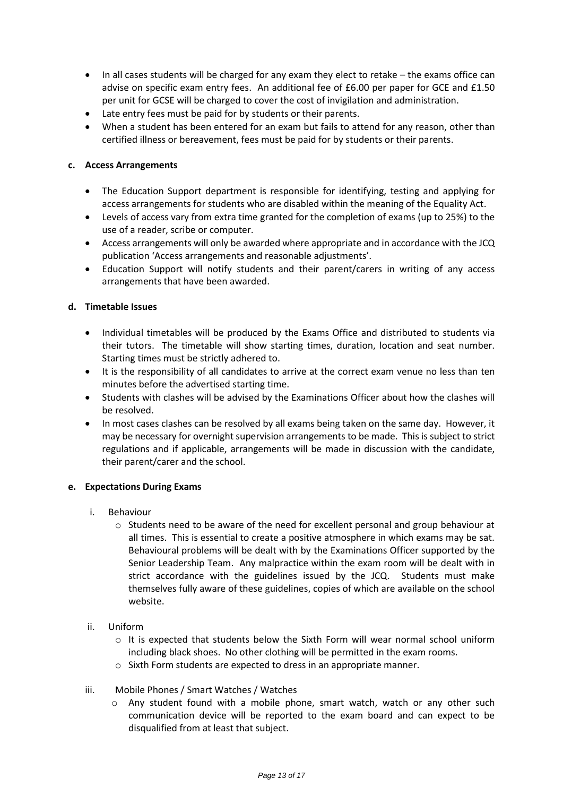- In all cases students will be charged for any exam they elect to retake the exams office can advise on specific exam entry fees. An additional fee of £6.00 per paper for GCE and £1.50 per unit for GCSE will be charged to cover the cost of invigilation and administration.
- Late entry fees must be paid for by students or their parents.
- When a student has been entered for an exam but fails to attend for any reason, other than certified illness or bereavement, fees must be paid for by students or their parents.

# **c. Access Arrangements**

- The Education Support department is responsible for identifying, testing and applying for access arrangements for students who are disabled within the meaning of the Equality Act.
- Levels of access vary from extra time granted for the completion of exams (up to 25%) to the use of a reader, scribe or computer.
- Access arrangements will only be awarded where appropriate and in accordance with the JCQ publication 'Access arrangements and reasonable adjustments'.
- Education Support will notify students and their parent/carers in writing of any access arrangements that have been awarded.

# **d. Timetable Issues**

- Individual timetables will be produced by the Exams Office and distributed to students via their tutors. The timetable will show starting times, duration, location and seat number. Starting times must be strictly adhered to.
- It is the responsibility of all candidates to arrive at the correct exam venue no less than ten minutes before the advertised starting time.
- Students with clashes will be advised by the Examinations Officer about how the clashes will be resolved.
- In most cases clashes can be resolved by all exams being taken on the same day. However, it may be necessary for overnight supervision arrangements to be made. This is subject to strict regulations and if applicable, arrangements will be made in discussion with the candidate, their parent/carer and the school.

# **e. Expectations During Exams**

- i. Behaviour
	- $\circ$  Students need to be aware of the need for excellent personal and group behaviour at all times. This is essential to create a positive atmosphere in which exams may be sat. Behavioural problems will be dealt with by the Examinations Officer supported by the Senior Leadership Team. Any malpractice within the exam room will be dealt with in strict accordance with the guidelines issued by the JCQ. Students must make themselves fully aware of these guidelines, copies of which are available on the school website.
- ii. Uniform
	- $\circ$  It is expected that students below the Sixth Form will wear normal school uniform including black shoes. No other clothing will be permitted in the exam rooms.
	- o Sixth Form students are expected to dress in an appropriate manner.
- iii. Mobile Phones / Smart Watches / Watches
	- $\circ$  Any student found with a mobile phone, smart watch, watch or any other such communication device will be reported to the exam board and can expect to be disqualified from at least that subject.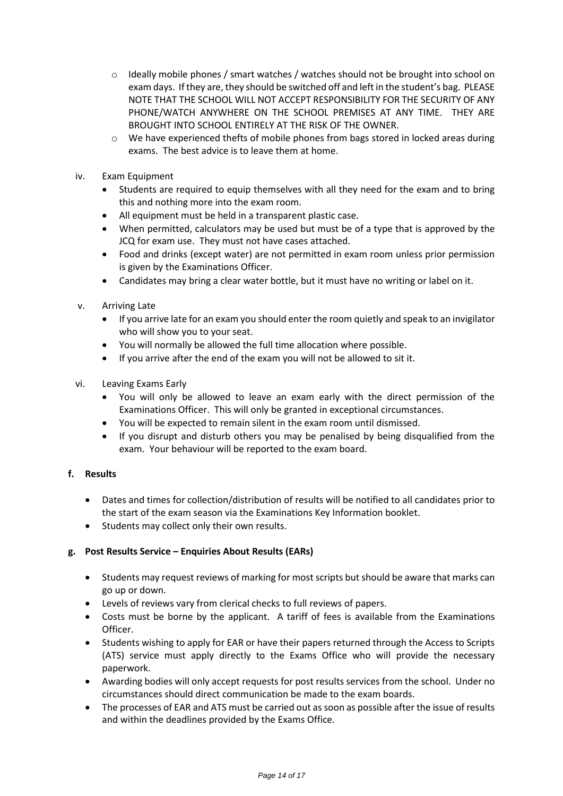- $\circ$  Ideally mobile phones / smart watches / watches should not be brought into school on exam days. If they are, they should be switched off and left in the student's bag. PLEASE NOTE THAT THE SCHOOL WILL NOT ACCEPT RESPONSIBILITY FOR THE SECURITY OF ANY PHONE/WATCH ANYWHERE ON THE SCHOOL PREMISES AT ANY TIME. THEY ARE BROUGHT INTO SCHOOL ENTIRELY AT THE RISK OF THE OWNER.
- $\circ$  We have experienced thefts of mobile phones from bags stored in locked areas during exams. The best advice is to leave them at home.
- iv. Exam Equipment
	- Students are required to equip themselves with all they need for the exam and to bring this and nothing more into the exam room.
	- All equipment must be held in a transparent plastic case.
	- When permitted, calculators may be used but must be of a type that is approved by the JCQ for exam use. They must not have cases attached.
	- Food and drinks (except water) are not permitted in exam room unless prior permission is given by the Examinations Officer.
	- Candidates may bring a clear water bottle, but it must have no writing or label on it.
- v. Arriving Late
	- If you arrive late for an exam you should enter the room quietly and speak to an invigilator who will show you to your seat.
	- You will normally be allowed the full time allocation where possible.
	- If you arrive after the end of the exam you will not be allowed to sit it.
- vi. Leaving Exams Early
	- You will only be allowed to leave an exam early with the direct permission of the Examinations Officer. This will only be granted in exceptional circumstances.
	- You will be expected to remain silent in the exam room until dismissed.
	- If you disrupt and disturb others you may be penalised by being disqualified from the exam. Your behaviour will be reported to the exam board.

# **f. Results**

- Dates and times for collection/distribution of results will be notified to all candidates prior to the start of the exam season via the Examinations Key Information booklet.
- Students may collect only their own results.

# **g. Post Results Service – Enquiries About Results (EARs)**

- Students may request reviews of marking for most scripts but should be aware that marks can go up or down.
- Levels of reviews vary from clerical checks to full reviews of papers.
- Costs must be borne by the applicant. A tariff of fees is available from the Examinations Officer.
- Students wishing to apply for EAR or have their papers returned through the Access to Scripts (ATS) service must apply directly to the Exams Office who will provide the necessary paperwork.
- Awarding bodies will only accept requests for post results services from the school. Under no circumstances should direct communication be made to the exam boards.
- The processes of EAR and ATS must be carried out as soon as possible after the issue of results and within the deadlines provided by the Exams Office.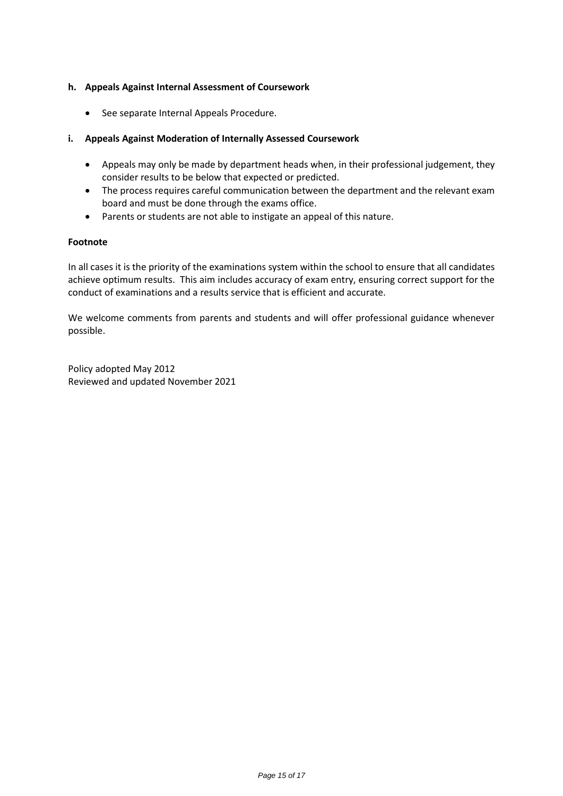# **h. Appeals Against Internal Assessment of Coursework**

• See separate Internal Appeals Procedure.

# **i. Appeals Against Moderation of Internally Assessed Coursework**

- Appeals may only be made by department heads when, in their professional judgement, they consider results to be below that expected or predicted.
- The process requires careful communication between the department and the relevant exam board and must be done through the exams office.
- Parents or students are not able to instigate an appeal of this nature.

# **Footnote**

In all cases it is the priority of the examinations system within the school to ensure that all candidates achieve optimum results. This aim includes accuracy of exam entry, ensuring correct support for the conduct of examinations and a results service that is efficient and accurate.

We welcome comments from parents and students and will offer professional guidance whenever possible.

Policy adopted May 2012 Reviewed and updated November 2021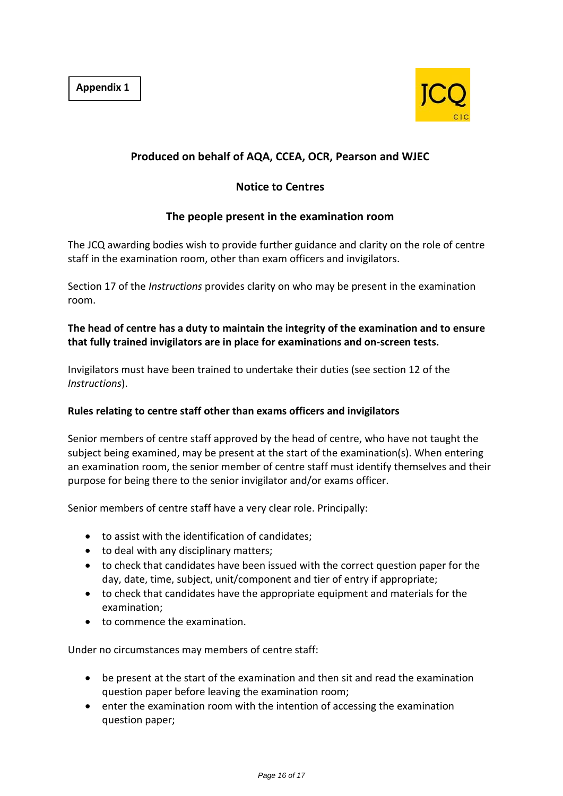

# **Produced on behalf of AQA, CCEA, OCR, Pearson and WJEC**

# **Notice to Centres**

# **The people present in the examination room**

The JCQ awarding bodies wish to provide further guidance and clarity on the role of centre staff in the examination room, other than exam officers and invigilators.

Section 17 of the *Instructions* provides clarity on who may be present in the examination room.

# **The head of centre has a duty to maintain the integrity of the examination and to ensure that fully trained invigilators are in place for examinations and on-screen tests.**

Invigilators must have been trained to undertake their duties (see section 12 of the *Instructions*).

# **Rules relating to centre staff other than exams officers and invigilators**

Senior members of centre staff approved by the head of centre, who have not taught the subject being examined, may be present at the start of the examination(s). When entering an examination room, the senior member of centre staff must identify themselves and their purpose for being there to the senior invigilator and/or exams officer.

Senior members of centre staff have a very clear role. Principally:

- to assist with the identification of candidates;
- to deal with any disciplinary matters;
- to check that candidates have been issued with the correct question paper for the day, date, time, subject, unit/component and tier of entry if appropriate;
- to check that candidates have the appropriate equipment and materials for the examination;
- to commence the examination.

Under no circumstances may members of centre staff:

- be present at the start of the examination and then sit and read the examination question paper before leaving the examination room;
- enter the examination room with the intention of accessing the examination question paper;